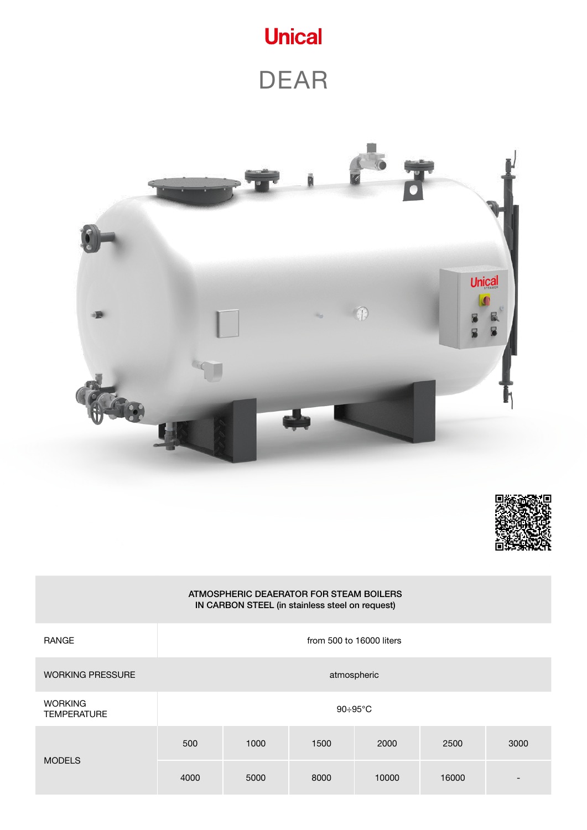

DEAR





#### ATMOSPHERIC DEAERATOR FOR STEAM BOILERS IN CARBON STEEL (in stainless steel on request)

| <b>RANGE</b>                         | from 500 to 16000 liters |      |      |       |       |                          |  |
|--------------------------------------|--------------------------|------|------|-------|-------|--------------------------|--|
| <b>WORKING PRESSURE</b>              | atmospheric              |      |      |       |       |                          |  |
| <b>WORKING</b><br><b>TEMPERATURE</b> | $90 \div 95^{\circ}$ C   |      |      |       |       |                          |  |
| <b>MODELS</b>                        | 500                      | 1000 | 1500 | 2000  | 2500  | 3000                     |  |
|                                      | 4000                     | 5000 | 8000 | 10000 | 16000 | $\overline{\phantom{0}}$ |  |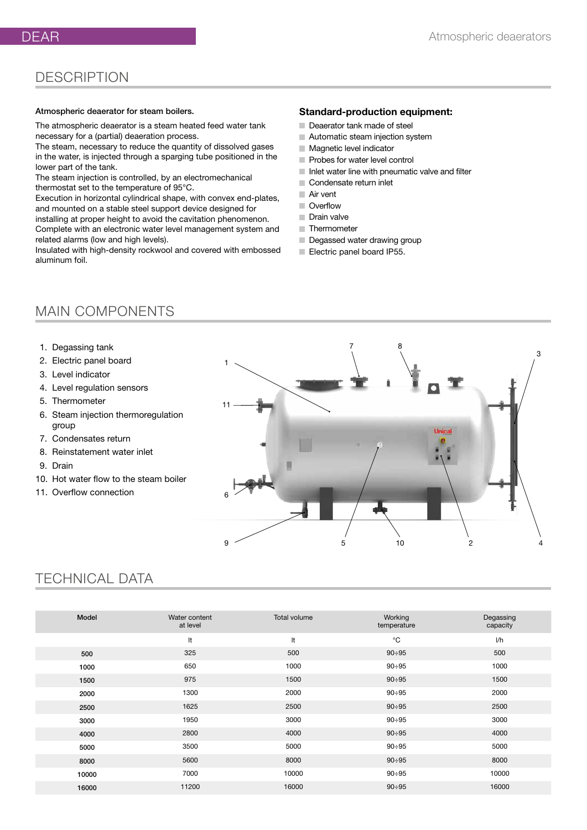The atmospheric deaerator is a steam heated feed water tank necessary for a (partial) deaeration process.

The steam, necessary to reduce the quantity of dissolved gases in the water, is injected through a sparging tube positioned in the lower part of the tank.

The steam injection is controlled, by an electromechanical thermostat set to the temperature of 95°C.

Execution in horizontal cylindrical shape, with convex end-plates, and mounted on a stable steel support device designed for installing at proper height to avoid the cavitation phenomenon. Complete with an electronic water level management system and related alarms (low and high levels).

Insulated with high-density rockwool and covered with embossed aluminum foil.

### **Standard-production equipment:**

- Deaerator tank made of steel
- Automatic steam injection system
- **Magnetic level indicator**
- Probes for water level control
- Inlet water line with pneumatic valve and filter
- Condensate return inlet
- Air vent
- **Overflow**
- Drain valve
- **Thermometer**
- Degassed water drawing group
- Electric panel board IP55.

## MAIN COMPONENTS

- 1. Degassing tank
- 2. Electric panel board
- 3. Level indicator
- 4. Level regulation sensors
- 5. Thermometer
- 6. Steam injection thermoregulation group
- 7. Condensates return
- 8. Reinstatement water inlet
- 9. Drain
- 10. Hot water flow to the steam boiler
- 11. Overflow connection



## TECHNICAL DATA

| Model | Water content<br>at level | <b>Total volume</b> | Working<br>temperature | Degassing<br>capacity |
|-------|---------------------------|---------------------|------------------------|-----------------------|
|       | It                        | It                  | $^{\circ}$ C           | 1/h                   |
| 500   | 325                       | 500                 | $90 \div 95$           | 500                   |
| 1000  | 650                       | 1000                | $90 \div 95$           | 1000                  |
| 1500  | 975                       | 1500                | $90 \div 95$           | 1500                  |
| 2000  | 1300                      | 2000                | $90 \div 95$           | 2000                  |
| 2500  | 1625                      | 2500                | $90 \div 95$           | 2500                  |
| 3000  | 1950                      | 3000                | $90 \div 95$           | 3000                  |
| 4000  | 2800                      | 4000                | $90 \div 95$           | 4000                  |
| 5000  | 3500                      | 5000                | $90 \div 95$           | 5000                  |
| 8000  | 5600                      | 8000                | $90 \div 95$           | 8000                  |
| 10000 | 7000                      | 10000               | $90 \div 95$           | 10000                 |
| 16000 | 11200                     | 16000               | $90 \div 95$           | 16000                 |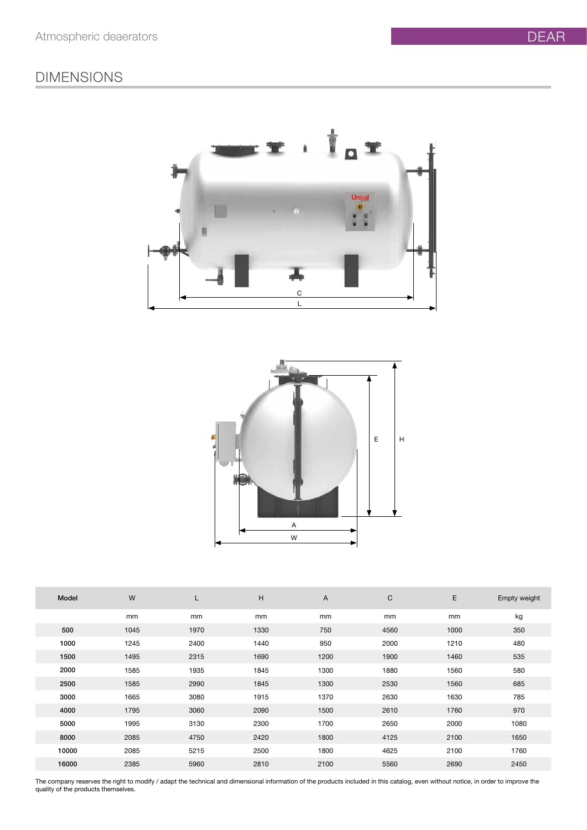## DIMENSIONS





| Model | W    | L    | H    | A    | $\mathsf C$ | E    | Empty weight |
|-------|------|------|------|------|-------------|------|--------------|
|       | mm   | mm   | mm   | mm   | mm          | mm   | kg           |
| 500   | 1045 | 1970 | 1330 | 750  | 4560        | 1000 | 350          |
| 1000  | 1245 | 2400 | 1440 | 950  | 2000        | 1210 | 480          |
| 1500  | 1495 | 2315 | 1690 | 1200 | 1900        | 1460 | 535          |
| 2000  | 1585 | 1935 | 1845 | 1300 | 1880        | 1560 | 580          |
| 2500  | 1585 | 2990 | 1845 | 1300 | 2530        | 1560 | 685          |
| 3000  | 1665 | 3080 | 1915 | 1370 | 2630        | 1630 | 785          |
| 4000  | 1795 | 3060 | 2090 | 1500 | 2610        | 1760 | 970          |
| 5000  | 1995 | 3130 | 2300 | 1700 | 2650        | 2000 | 1080         |
| 8000  | 2085 | 4750 | 2420 | 1800 | 4125        | 2100 | 1650         |
| 10000 | 2085 | 5215 | 2500 | 1800 | 4625        | 2100 | 1760         |
| 16000 | 2385 | 5960 | 2810 | 2100 | 5560        | 2690 | 2450         |

The company reserves the right to modify / adapt the technical and dimensional information of the products included in this catalog, even without notice, in order to improve the quality of the products themselves.